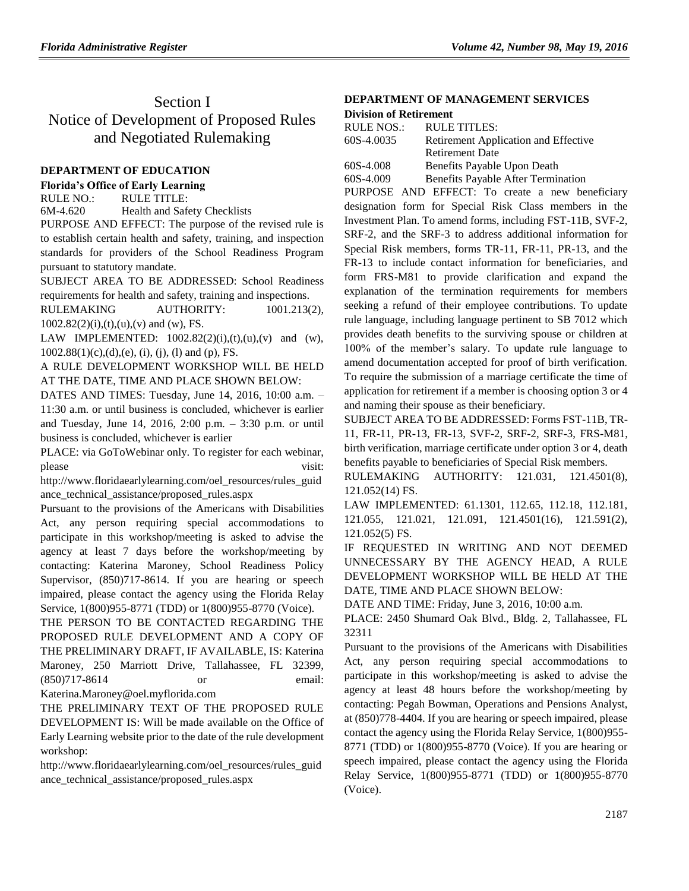# Section I Notice of Development of Proposed Rules and Negotiated Rulemaking

## **[DEPARTMENT OF EDUCATION](https://www.flrules.org/gateway/department.asp?id=6)**

**[Florida's Office of Early Learning](https://www.flrules.org/gateway/organization.asp?id=1044)**

RULE NO.: RULE TITLE:

[6M-4.620](https://www.flrules.org/gateway/ruleNo.asp?id=6M-4.620) Health and Safety Checklists PURPOSE AND EFFECT: The purpose of the revised rule is to establish certain health and safety, training, and inspection standards for providers of the School Readiness Program pursuant to statutory mandate.

SUBJECT AREA TO BE ADDRESSED: School Readiness requirements for health and safety, training and inspections.

RULEMAKING AUTHORITY: 1001.213(2),  $1002.82(2)(i),(t),(u),(v)$  and (w), FS.

LAW IMPLEMENTED:  $1002.82(2)(i),(t),(u),(v)$  and (w),  $1002.88(1)(c),(d),(e),(i),(j),(l)$  and (p), FS.

A RULE DEVELOPMENT WORKSHOP WILL BE HELD AT THE DATE, TIME AND PLACE SHOWN BELOW:

DATES AND TIMES: Tuesday, June 14, 2016, 10:00 a.m. – 11:30 a.m. or until business is concluded, whichever is earlier and Tuesday, June 14, 2016, 2:00 p.m. – 3:30 p.m. or until business is concluded, whichever is earlier

PLACE: via GoToWebinar only. To register for each webinar, please visit:

http://www.floridaearlylearning.com/oel\_resources/rules\_guid ance\_technical\_assistance/proposed\_rules.aspx

Pursuant to the provisions of the Americans with Disabilities Act, any person requiring special accommodations to participate in this workshop/meeting is asked to advise the agency at least 7 days before the workshop/meeting by contacting: Katerina Maroney, School Readiness Policy Supervisor,  $(850)717-8614$ . If you are hearing or speech impaired, please contact the agency using the Florida Relay Service, 1(800)955-8771 (TDD) or 1(800)955-8770 (Voice).

THE PERSON TO BE CONTACTED REGARDING THE PROPOSED RULE DEVELOPMENT AND A COPY OF THE PRELIMINARY DRAFT, IF AVAILABLE, IS: Katerina Maroney, 250 Marriott Drive, Tallahassee, FL 32399, (850)717-8614 or email:

Katerina.Maroney@oel.myflorida.com

THE PRELIMINARY TEXT OF THE PROPOSED RULE DEVELOPMENT IS: Will be made available on the Office of Early Learning website prior to the date of the rule development workshop:

[http://www.floridaearlylearning.com/oel\\_resources/rules\\_guid](http://www.floridaearlylearning.com/oel_resources/rules_guidance_technical_assistance/proposed_rules.aspx) [ance\\_technical\\_assistance/proposed\\_rules.aspx](http://www.floridaearlylearning.com/oel_resources/rules_guidance_technical_assistance/proposed_rules.aspx)

#### **[DEPARTMENT OF MANAGEMENT SERVICES](https://www.flrules.org/gateway/department.asp?id=60) Division of [Retirement](https://www.flrules.org/gateway/organization.asp?id=239)**

| RULE NOS.: | <b>RULE TITLES:</b>                       |
|------------|-------------------------------------------|
| 60S-4.0035 | Retirement Application and Effective      |
|            | <b>Retirement Date</b>                    |
| 60S-4.008  | Benefits Payable Upon Death               |
| 60S-4.009  | <b>Benefits Payable After Termination</b> |

PURPOSE AND EFFECT: To create a new beneficiary designation form for Special Risk Class members in the Investment Plan. To amend forms, including FST-11B, SVF-2, SRF-2, and the SRF-3 to address additional information for Special Risk members, forms TR-11, FR-11, PR-13, and the FR-13 to include contact information for beneficiaries, and form FRS-M81 to provide clarification and expand the explanation of the termination requirements for members seeking a refund of their employee contributions. To update rule language, including language pertinent to SB 7012 which provides death benefits to the surviving spouse or children at 100% of the member's salary. To update rule language to amend documentation accepted for proof of birth verification. To require the submission of a marriage certificate the time of application for retirement if a member is choosing option 3 or 4 and naming their spouse as their beneficiary.

SUBJECT AREA TO BE ADDRESSED: Forms FST-11B, TR-11, FR-11, PR-13, FR-13, SVF-2, SRF-2, SRF-3, FRS-M81, birth verification, marriage certificate under option 3 or 4, death benefits payable to beneficiaries of Special Risk members.

RULEMAKING AUTHORITY: 121.031, 121.4501(8), 121.052(14) FS.

LAW IMPLEMENTED: 61.1301, 112.65, 112.18, 112.181, 121.055, 121.021, 121.091, 121.4501(16), 121.591(2), 121.052(5) FS.

IF REQUESTED IN WRITING AND NOT DEEMED UNNECESSARY BY THE AGENCY HEAD, A RULE DEVELOPMENT WORKSHOP WILL BE HELD AT THE DATE, TIME AND PLACE SHOWN BELOW:

DATE AND TIME: Friday, June 3, 2016, 10:00 a.m.

PLACE: 2450 Shumard Oak Blvd., Bldg. 2, Tallahassee, FL 32311

Pursuant to the provisions of the Americans with Disabilities Act, any person requiring special accommodations to participate in this workshop/meeting is asked to advise the agency at least 48 hours before the workshop/meeting by contacting: Pegah Bowman, Operations and Pensions Analyst, at (850)778-4404. If you are hearing or speech impaired, please contact the agency using the Florida Relay Service, 1(800)955- 8771 (TDD) or 1(800)955-8770 (Voice). If you are hearing or speech impaired, please contact the agency using the Florida Relay Service, 1(800)955-8771 (TDD) or 1(800)955-8770 (Voice).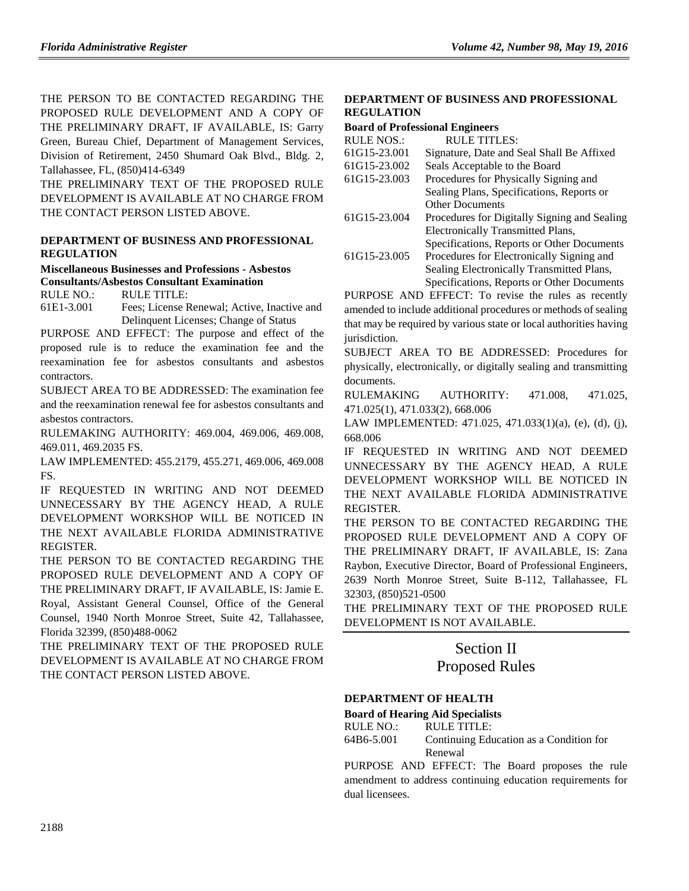THE PERSON TO BE CONTACTED REGARDING THE PROPOSED RULE DEVELOPMENT AND A COPY OF THE PRELIMINARY DRAFT, IF AVAILABLE, IS: Garry Green, Bureau Chief, Department of Management Services, Division of Retirement, 2450 Shumard Oak Blvd., Bldg. 2, Tallahassee, FL, (850)414-6349

THE PRELIMINARY TEXT OF THE PROPOSED RULE DEVELOPMENT IS AVAILABLE AT NO CHARGE FROM THE CONTACT PERSON LISTED ABOVE.

## **DEPARTMENT OF BUSINESS AND PROFESSIONAL REGULATION**

## **Miscellaneous Businesses and Professions - Asbestos Consultants/Asbestos Consultant Examination**

RULE NO.: RULE TITLE:

61E1-3.001 Fees; License Renewal; Active, Inactive and Delinquent Licenses; Change of Status

PURPOSE AND EFFECT: The purpose and effect of the proposed rule is to reduce the examination fee and the reexamination fee for asbestos consultants and asbestos contractors.

SUBJECT AREA TO BE ADDRESSED: The examination fee and the reexamination renewal fee for asbestos consultants and asbestos contractors.

RULEMAKING AUTHORITY: 469.004, 469.006, 469.008, 469.011, 469.2035 FS.

LAW IMPLEMENTED: 455.2179, 455.271, 469.006, 469.008 FS.

IF REQUESTED IN WRITING AND NOT DEEMED UNNECESSARY BY THE AGENCY HEAD, A RULE DEVELOPMENT WORKSHOP WILL BE NOTICED IN THE NEXT AVAILABLE FLORIDA ADMINISTRATIVE REGISTER.

THE PERSON TO BE CONTACTED REGARDING THE PROPOSED RULE DEVELOPMENT AND A COPY OF THE PRELIMINARY DRAFT, IF AVAILABLE, IS: Jamie E. Royal, Assistant General Counsel, Office of the General Counsel, 1940 North Monroe Street, Suite 42, Tallahassee, Florida 32399, (850)488-0062

THE PRELIMINARY TEXT OF THE PROPOSED RULE DEVELOPMENT IS AVAILABLE AT NO CHARGE FROM THE CONTACT PERSON LISTED ABOVE.

## **[DEPARTMENT OF BUSINESS AND PROFESSIONAL](https://www.flrules.org/gateway/department.asp?id=61)  [REGULATION](https://www.flrules.org/gateway/department.asp?id=61)**

#### **[Board of Professional Engineers](https://www.flrules.org/gateway/organization.asp?id=267)**

| <b>RULE NOS.:</b> | <b>RULE TITLES:</b>                          |
|-------------------|----------------------------------------------|
| 61G15-23.001      | Signature, Date and Seal Shall Be Affixed    |
| 61G15-23.002      | Seals Acceptable to the Board                |
| 61G15-23.003      | Procedures for Physically Signing and        |
|                   | Sealing Plans, Specifications, Reports or    |
|                   | <b>Other Documents</b>                       |
| 61G15-23.004      | Procedures for Digitally Signing and Sealing |
|                   | Electronically Transmitted Plans,            |
|                   | Specifications, Reports or Other Documents   |
| 61G15-23.005      | Procedures for Electronically Signing and    |
|                   | Sealing Electronically Transmitted Plans,    |
|                   | Specifications, Reports or Other Documents   |
|                   |                                              |

PURPOSE AND EFFECT: To revise the rules as recently amended to include additional procedures or methods of sealing that may be required by various state or local authorities having jurisdiction.

SUBJECT AREA TO BE ADDRESSED: Procedures for physically, electronically, or digitally sealing and transmitting documents.

RULEMAKING AUTHORITY: 471.008, 471.025, 471.025(1), 471.033(2), 668.006

LAW IMPLEMENTED: 471.025, 471.033(1)(a), (e), (d), (j), 668.006

IF REQUESTED IN WRITING AND NOT DEEMED UNNECESSARY BY THE AGENCY HEAD, A RULE DEVELOPMENT WORKSHOP WILL BE NOTICED IN THE NEXT AVAILABLE FLORIDA ADMINISTRATIVE REGISTER.

THE PERSON TO BE CONTACTED REGARDING THE PROPOSED RULE DEVELOPMENT AND A COPY OF THE PRELIMINARY DRAFT, IF AVAILABLE, IS: Zana Raybon, Executive Director, Board of Professional Engineers, 2639 North Monroe Street, Suite B-112, Tallahassee, FL 32303, (850)521-0500

THE PRELIMINARY TEXT OF THE PROPOSED RULE DEVELOPMENT IS NOT AVAILABLE.

# Section II

## Proposed Rules

## **DEPARTMENT OF HEALTH**

## **Board of Hearing Aid Specialists**

RULE NO.: RULE TITLE: [64B6-5.001](https://www.flrules.org/gateway/ruleNo.asp?id=64B6-5.001) Continuing Education as a Condition for Renewal

PURPOSE AND EFFECT: The Board proposes the rule amendment to address continuing education requirements for dual licensees.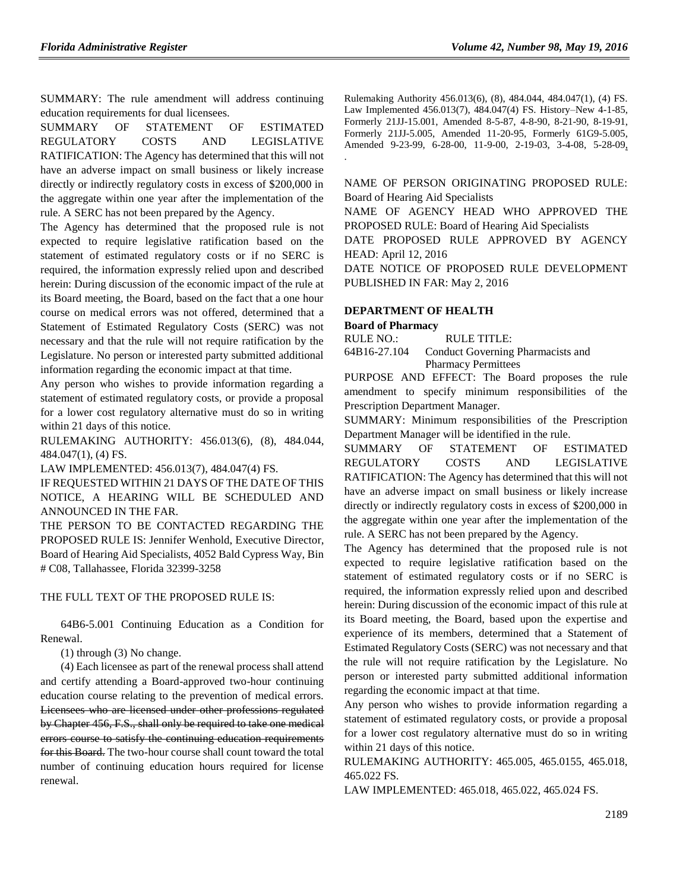SUMMARY: The rule amendment will address continuing education requirements for dual licensees.

SUMMARY OF STATEMENT OF ESTIMATED REGULATORY COSTS AND LEGISLATIVE RATIFICATION: The Agency has determined that this will not have an adverse impact on small business or likely increase directly or indirectly regulatory costs in excess of \$200,000 in the aggregate within one year after the implementation of the rule. A SERC has not been prepared by the Agency.

The Agency has determined that the proposed rule is not expected to require legislative ratification based on the statement of estimated regulatory costs or if no SERC is required, the information expressly relied upon and described herein: During discussion of the economic impact of the rule at its Board meeting, the Board, based on the fact that a one hour course on medical errors was not offered, determined that a Statement of Estimated Regulatory Costs (SERC) was not necessary and that the rule will not require ratification by the Legislature. No person or interested party submitted additional information regarding the economic impact at that time.

Any person who wishes to provide information regarding a statement of estimated regulatory costs, or provide a proposal for a lower cost regulatory alternative must do so in writing within 21 days of this notice.

RULEMAKING AUTHORITY: 456.013(6), (8), 484.044, 484.047(1), (4) FS.

LAW IMPLEMENTED: 456.013(7), 484.047(4) FS.

IF REQUESTED WITHIN 21 DAYS OF THE DATE OF THIS NOTICE, A HEARING WILL BE SCHEDULED AND ANNOUNCED IN THE FAR.

THE PERSON TO BE CONTACTED REGARDING THE PROPOSED RULE IS: Jennifer Wenhold, Executive Director, Board of Hearing Aid Specialists, 4052 Bald Cypress Way, Bin # C08, Tallahassee, Florida 32399-3258

#### THE FULL TEXT OF THE PROPOSED RULE IS:

64B6-5.001 Continuing Education as a Condition for Renewal.

(1) through (3) No change.

(4) Each licensee as part of the renewal process shall attend and certify attending a Board-approved two-hour continuing education course relating to the prevention of medical errors. Licensees who are licensed under other professions regulated by Chapter 456, F.S., shall only be required to take one medical errors course to satisfy the continuing education requirements for this Board. The two-hour course shall count toward the total number of continuing education hours required for license renewal.

Rulemaking Authority 456.013(6), (8), 484.044, 484.047(1), (4) FS. Law Implemented 456.013(7), 484.047(4) FS. History–New 4-1-85, Formerly 21JJ-15.001, Amended 8-5-87, 4-8-90, 8-21-90, 8-19-91, Formerly 21JJ-5.005, Amended 11-20-95, Formerly 61G9-5.005, Amended 9-23-99, 6-28-00, 11-9-00, 2-19-03, 3-4-08, 5-28-09, .

NAME OF PERSON ORIGINATING PROPOSED RULE: Board of Hearing Aid Specialists

NAME OF AGENCY HEAD WHO APPROVED THE PROPOSED RULE: Board of Hearing Aid Specialists

DATE PROPOSED RULE APPROVED BY AGENCY HEAD: April 12, 2016

DATE NOTICE OF PROPOSED RULE DEVELOPMENT PUBLISHED IN FAR: May 2, 2016

#### **[DEPARTMENT OF HEALTH](https://www.flrules.org/gateway/department.asp?id=64)**

#### **[Board of Pharmacy](https://www.flrules.org/gateway/organization.asp?id=307)**

RULE NO.: RULE TITLE:

[64B16-27.104](https://www.flrules.org/gateway/ruleNo.asp?id=64B16-27.104) Conduct Governing Pharmacists and Pharmacy Permittees

PURPOSE AND EFFECT: The Board proposes the rule amendment to specify minimum responsibilities of the Prescription Department Manager.

SUMMARY: Minimum responsibilities of the Prescription Department Manager will be identified in the rule.

SUMMARY OF STATEMENT OF ESTIMATED REGULATORY COSTS AND LEGISLATIVE RATIFICATION: The Agency has determined that this will not have an adverse impact on small business or likely increase directly or indirectly regulatory costs in excess of \$200,000 in the aggregate within one year after the implementation of the rule. A SERC has not been prepared by the Agency.

The Agency has determined that the proposed rule is not expected to require legislative ratification based on the statement of estimated regulatory costs or if no SERC is required, the information expressly relied upon and described herein: During discussion of the economic impact of this rule at its Board meeting, the Board, based upon the expertise and experience of its members, determined that a Statement of Estimated Regulatory Costs (SERC) was not necessary and that the rule will not require ratification by the Legislature. No person or interested party submitted additional information regarding the economic impact at that time.

Any person who wishes to provide information regarding a statement of estimated regulatory costs, or provide a proposal for a lower cost regulatory alternative must do so in writing within 21 days of this notice.

RULEMAKING AUTHORITY: 465.005, 465.0155, 465.018, 465.022 FS.

LAW IMPLEMENTED: 465.018, 465.022, 465.024 FS.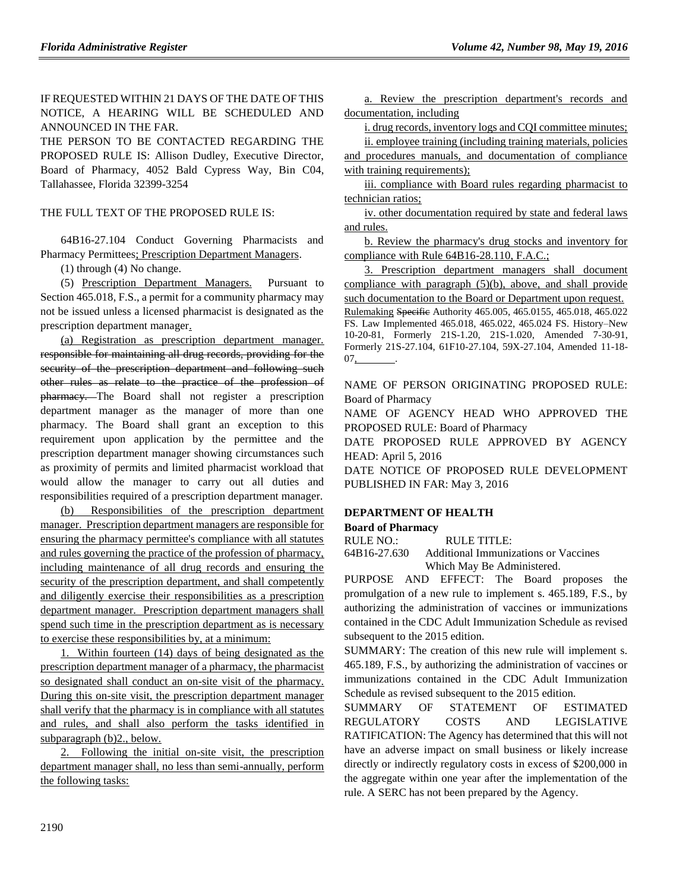IF REQUESTED WITHIN 21 DAYS OF THE DATE OF THIS NOTICE, A HEARING WILL BE SCHEDULED AND ANNOUNCED IN THE FAR.

THE PERSON TO BE CONTACTED REGARDING THE PROPOSED RULE IS: Allison Dudley, Executive Director, Board of Pharmacy, 4052 Bald Cypress Way, Bin C04, Tallahassee, Florida 32399-3254

### THE FULL TEXT OF THE PROPOSED RULE IS:

64B16-27.104 Conduct Governing Pharmacists and Pharmacy Permittees; Prescription Department Managers.

(1) through (4) No change.

(5) Prescription Department Managers. Pursuant to Section 465.018, F.S., a permit for a community pharmacy may not be issued unless a licensed pharmacist is designated as the prescription department manager.

(a) Registration as prescription department manager. responsible for maintaining all drug records, providing for the security of the prescription department and following such other rules as relate to the practice of the profession of pharmacy. The Board shall not register a prescription department manager as the manager of more than one pharmacy. The Board shall grant an exception to this requirement upon application by the permittee and the prescription department manager showing circumstances such as proximity of permits and limited pharmacist workload that would allow the manager to carry out all duties and responsibilities required of a prescription department manager.

Responsibilities of the prescription department manager. Prescription department managers are responsible for ensuring the pharmacy permittee's compliance with all statutes and rules governing the practice of the profession of pharmacy, including maintenance of all drug records and ensuring the security of the prescription department, and shall competently and diligently exercise their responsibilities as a prescription department manager. Prescription department managers shall spend such time in the prescription department as is necessary to exercise these responsibilities by, at a minimum:

1. Within fourteen (14) days of being designated as the prescription department manager of a pharmacy, the pharmacist so designated shall conduct an on-site visit of the pharmacy. During this on-site visit, the prescription department manager shall verify that the pharmacy is in compliance with all statutes and rules, and shall also perform the tasks identified in subparagraph (b)2., below.

2. Following the initial on-site visit, the prescription department manager shall, no less than semi-annually, perform the following tasks:

a. Review the prescription department's records and documentation, including

i. drug records, inventory logs and CQI committee minutes; ii. employee training (including training materials, policies

and procedures manuals, and documentation of compliance with training requirements);

iii. compliance with Board rules regarding pharmacist to technician ratios;

iv. other documentation required by state and federal laws and rules.

b. Review the pharmacy's drug stocks and inventory for compliance with Rule 64B16-28.110, F.A.C.;

3. Prescription department managers shall document compliance with paragraph (5)(b), above, and shall provide such documentation to the Board or Department upon request. Rulemaking Specific Authority 465.005, 465.0155, 465.018, 465.022 FS. Law Implemented 465.018, 465.022, 465.024 FS. History–New 10-20-81, Formerly 21S-1.20, 21S-1.020, Amended 7-30-91, Formerly 21S-27.104, 61F10-27.104, 59X-27.104, Amended 11-18-  $07_{.}$ 

NAME OF PERSON ORIGINATING PROPOSED RULE: Board of Pharmacy

NAME OF AGENCY HEAD WHO APPROVED THE PROPOSED RULE: Board of Pharmacy

DATE PROPOSED RULE APPROVED BY AGENCY HEAD: April 5, 2016

DATE NOTICE OF PROPOSED RULE DEVELOPMENT PUBLISHED IN FAR: May 3, 2016

#### **DEPARTMENT OF HEALTH**

#### **Board of Pharmacy**

RULE NO.: RULE TITLE:

[64B16-27.630](https://www.flrules.org/gateway/ruleNo.asp?id=64B16-27.630) Additional Immunizations or Vaccines Which May Be Administered.

PURPOSE AND EFFECT: The Board proposes the promulgation of a new rule to implement s. 465.189, F.S., by authorizing the administration of vaccines or immunizations contained in the CDC Adult Immunization Schedule as revised subsequent to the 2015 edition.

SUMMARY: The creation of this new rule will implement s. 465.189, F.S., by authorizing the administration of vaccines or immunizations contained in the CDC Adult Immunization Schedule as revised subsequent to the 2015 edition.

SUMMARY OF STATEMENT OF ESTIMATED REGULATORY COSTS AND LEGISLATIVE RATIFICATION: The Agency has determined that this will not have an adverse impact on small business or likely increase directly or indirectly regulatory costs in excess of \$200,000 in the aggregate within one year after the implementation of the rule. A SERC has not been prepared by the Agency.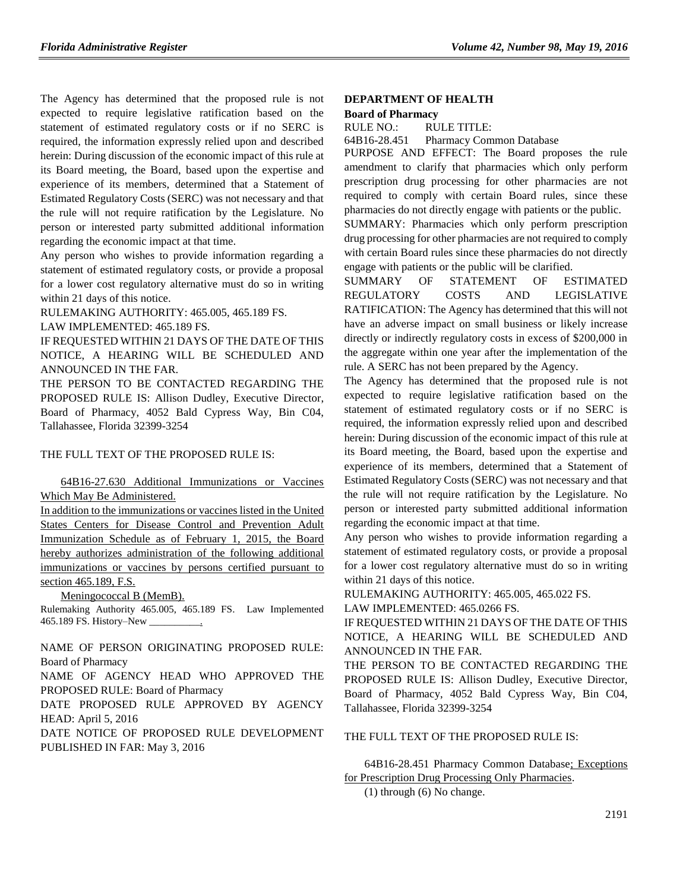The Agency has determined that the proposed rule is not expected to require legislative ratification based on the statement of estimated regulatory costs or if no SERC is required, the information expressly relied upon and described herein: During discussion of the economic impact of this rule at its Board meeting, the Board, based upon the expertise and experience of its members, determined that a Statement of Estimated Regulatory Costs (SERC) was not necessary and that the rule will not require ratification by the Legislature. No person or interested party submitted additional information regarding the economic impact at that time.

Any person who wishes to provide information regarding a statement of estimated regulatory costs, or provide a proposal for a lower cost regulatory alternative must do so in writing within 21 days of this notice.

RULEMAKING AUTHORITY: 465.005, 465.189 FS. LAW IMPLEMENTED: 465.189 FS.

IF REQUESTED WITHIN 21 DAYS OF THE DATE OF THIS NOTICE, A HEARING WILL BE SCHEDULED AND ANNOUNCED IN THE FAR.

THE PERSON TO BE CONTACTED REGARDING THE PROPOSED RULE IS: Allison Dudley, Executive Director, Board of Pharmacy, 4052 Bald Cypress Way, Bin C04, Tallahassee, Florida 32399-3254

#### THE FULL TEXT OF THE PROPOSED RULE IS:

64B16-27.630 Additional Immunizations or Vaccines Which May Be Administered.

In addition to the immunizations or vaccines listed in the United States Centers for Disease Control and Prevention Adult Immunization Schedule as of February 1, 2015, the Board hereby authorizes administration of the following additional immunizations or vaccines by persons certified pursuant to section 465.189, F.S.

Meningococcal B (MemB).

Rulemaking Authority 465.005, 465.189 FS. Law Implemented 465.189 FS. History–New \_\_\_\_\_\_\_\_\_\_.

NAME OF PERSON ORIGINATING PROPOSED RULE: Board of Pharmacy

NAME OF AGENCY HEAD WHO APPROVED THE PROPOSED RULE: Board of Pharmacy

DATE PROPOSED RULE APPROVED BY AGENCY HEAD: April 5, 2016

DATE NOTICE OF PROPOSED RULE DEVELOPMENT PUBLISHED IN FAR: May 3, 2016

## **DEPARTMENT OF HEALTH**

## **Board of Pharmacy**

RULE NO.: RULE TITLE:

[64B16-28.451](https://www.flrules.org/gateway/ruleNo.asp?id=64B16-28.451) Pharmacy Common Database

PURPOSE AND EFFECT: The Board proposes the rule amendment to clarify that pharmacies which only perform prescription drug processing for other pharmacies are not required to comply with certain Board rules, since these pharmacies do not directly engage with patients or the public.

SUMMARY: Pharmacies which only perform prescription drug processing for other pharmacies are not required to comply with certain Board rules since these pharmacies do not directly engage with patients or the public will be clarified.

SUMMARY OF STATEMENT OF ESTIMATED REGULATORY COSTS AND LEGISLATIVE RATIFICATION: The Agency has determined that this will not have an adverse impact on small business or likely increase directly or indirectly regulatory costs in excess of \$200,000 in the aggregate within one year after the implementation of the rule. A SERC has not been prepared by the Agency.

The Agency has determined that the proposed rule is not expected to require legislative ratification based on the statement of estimated regulatory costs or if no SERC is required, the information expressly relied upon and described herein: During discussion of the economic impact of this rule at its Board meeting, the Board, based upon the expertise and experience of its members, determined that a Statement of Estimated Regulatory Costs (SERC) was not necessary and that the rule will not require ratification by the Legislature. No person or interested party submitted additional information regarding the economic impact at that time.

Any person who wishes to provide information regarding a statement of estimated regulatory costs, or provide a proposal for a lower cost regulatory alternative must do so in writing within 21 days of this notice.

RULEMAKING AUTHORITY: 465.005, 465.022 FS.

LAW IMPLEMENTED: 465.0266 FS.

IF REQUESTED WITHIN 21 DAYS OF THE DATE OF THIS NOTICE, A HEARING WILL BE SCHEDULED AND ANNOUNCED IN THE FAR.

THE PERSON TO BE CONTACTED REGARDING THE PROPOSED RULE IS: Allison Dudley, Executive Director, Board of Pharmacy, 4052 Bald Cypress Way, Bin C04, Tallahassee, Florida 32399-3254

THE FULL TEXT OF THE PROPOSED RULE IS:

64B16-28.451 Pharmacy Common Database; Exceptions for Prescription Drug Processing Only Pharmacies.

(1) through (6) No change.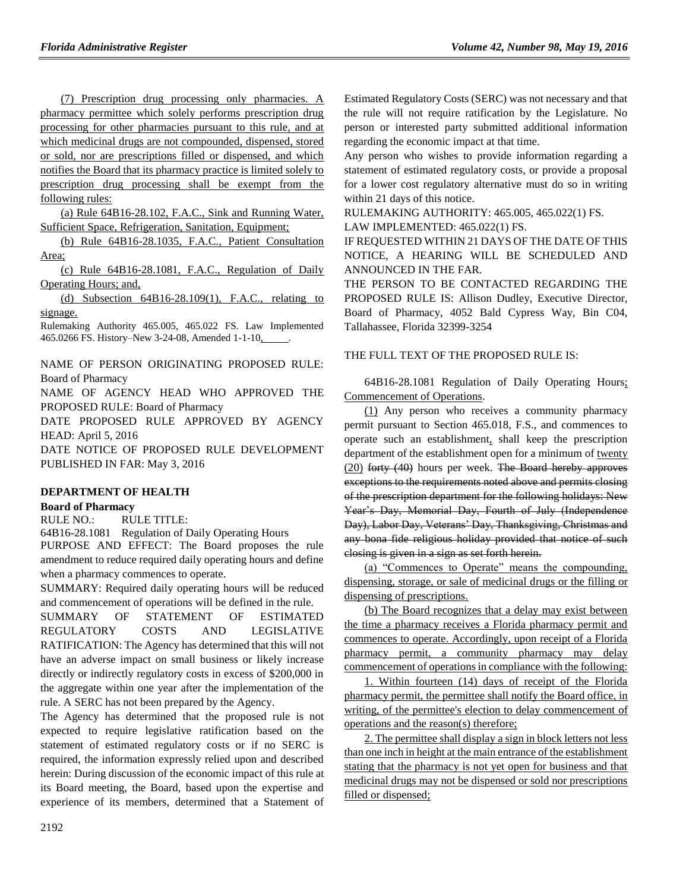(7) Prescription drug processing only pharmacies. A pharmacy permittee which solely performs prescription drug processing for other pharmacies pursuant to this rule, and at which medicinal drugs are not compounded, dispensed, stored or sold, nor are prescriptions filled or dispensed, and which notifies the Board that its pharmacy practice is limited solely to prescription drug processing shall be exempt from the following rules:

(a) Rule 64B16-28.102, F.A.C., Sink and Running Water, Sufficient Space, Refrigeration, Sanitation, Equipment;

(b) Rule 64B16-28.1035, F.A.C., Patient Consultation Area;

(c) Rule 64B16-28.1081, F.A.C., Regulation of Daily Operating Hours; and,

(d) Subsection 64B16-28.109(1), F.A.C., relating to signage.

Rulemaking Authority 465.005, 465.022 FS. Law Implemented 465.0266 FS. History–New 3-24-08, Amended 1-1-10, .

NAME OF PERSON ORIGINATING PROPOSED RULE: Board of Pharmacy

NAME OF AGENCY HEAD WHO APPROVED THE PROPOSED RULE: Board of Pharmacy

DATE PROPOSED RULE APPROVED BY AGENCY HEAD: April 5, 2016

DATE NOTICE OF PROPOSED RULE DEVELOPMENT PUBLISHED IN FAR: May 3, 2016

## **DEPARTMENT OF HEALTH**

## **Board of Pharmacy**

RULE NO.: RULE TITLE:

[64B16-28.1081](https://www.flrules.org/gateway/ruleNo.asp?id=64B16-28.1081) Regulation of Daily Operating Hours PURPOSE AND EFFECT: The Board proposes the rule amendment to reduce required daily operating hours and define when a pharmacy commences to operate.

SUMMARY: Required daily operating hours will be reduced and commencement of operations will be defined in the rule.

SUMMARY OF STATEMENT OF ESTIMATED REGULATORY COSTS AND LEGISLATIVE RATIFICATION: The Agency has determined that this will not have an adverse impact on small business or likely increase directly or indirectly regulatory costs in excess of \$200,000 in the aggregate within one year after the implementation of the rule. A SERC has not been prepared by the Agency.

The Agency has determined that the proposed rule is not expected to require legislative ratification based on the statement of estimated regulatory costs or if no SERC is required, the information expressly relied upon and described herein: During discussion of the economic impact of this rule at its Board meeting, the Board, based upon the expertise and experience of its members, determined that a Statement of Estimated Regulatory Costs (SERC) was not necessary and that the rule will not require ratification by the Legislature. No person or interested party submitted additional information regarding the economic impact at that time.

Any person who wishes to provide information regarding a statement of estimated regulatory costs, or provide a proposal for a lower cost regulatory alternative must do so in writing within 21 days of this notice.

RULEMAKING AUTHORITY: 465.005, 465.022(1) FS. LAW IMPLEMENTED: 465.022(1) FS.

IF REQUESTED WITHIN 21 DAYS OF THE DATE OF THIS NOTICE, A HEARING WILL BE SCHEDULED AND ANNOUNCED IN THE FAR.

THE PERSON TO BE CONTACTED REGARDING THE PROPOSED RULE IS: Allison Dudley, Executive Director, Board of Pharmacy, 4052 Bald Cypress Way, Bin C04, Tallahassee, Florida 32399-3254

## THE FULL TEXT OF THE PROPOSED RULE IS:

64B16-28.1081 Regulation of Daily Operating Hours; Commencement of Operations.

(1) Any person who receives a community pharmacy permit pursuant to Section 465.018, F.S., and commences to operate such an establishment, shall keep the prescription department of the establishment open for a minimum of twenty  $(20)$  forty  $(40)$  hours per week. The Board hereby approves exceptions to the requirements noted above and permits closing of the prescription department for the following holidays: New Year's Day, Memorial Day, Fourth of July (Independence Day), Labor Day, Veterans' Day, Thanksgiving, Christmas and any bona fide religious holiday provided that notice of such closing is given in a sign as set forth herein.

(a) "Commences to Operate" means the compounding, dispensing, storage, or sale of medicinal drugs or the filling or dispensing of prescriptions.

(b) The Board recognizes that a delay may exist between the time a pharmacy receives a Florida pharmacy permit and commences to operate. Accordingly, upon receipt of a Florida pharmacy permit, a community pharmacy may delay commencement of operations in compliance with the following:

1. Within fourteen (14) days of receipt of the Florida pharmacy permit, the permittee shall notify the Board office, in writing, of the permittee's election to delay commencement of operations and the reason(s) therefore;

2. The permittee shall display a sign in block letters not less than one inch in height at the main entrance of the establishment stating that the pharmacy is not yet open for business and that medicinal drugs may not be dispensed or sold nor prescriptions filled or dispensed;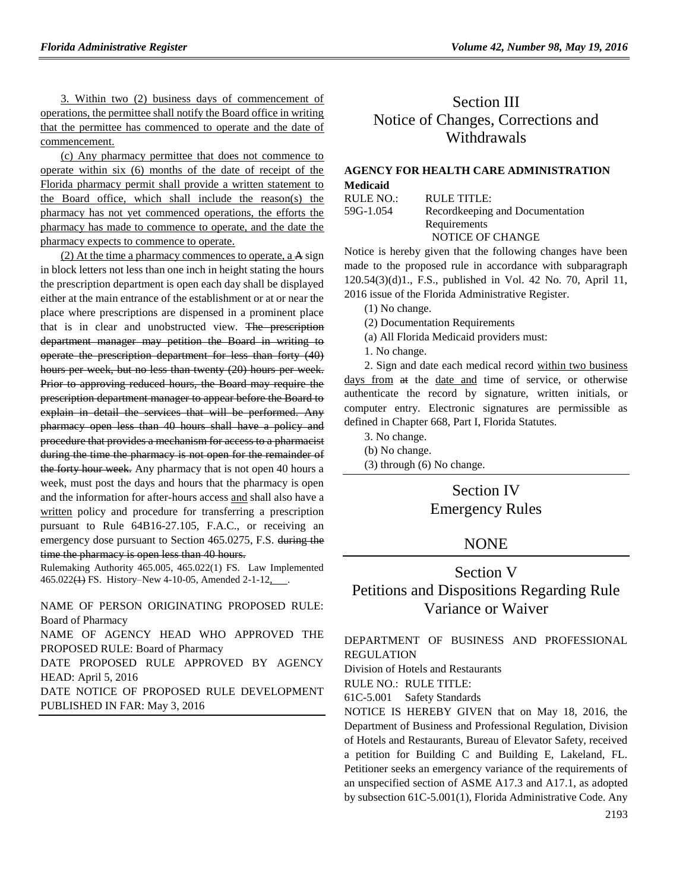3. Within two (2) business days of commencement of operations, the permittee shall notify the Board office in writing that the permittee has commenced to operate and the date of commencement.

(c) Any pharmacy permittee that does not commence to operate within six (6) months of the date of receipt of the Florida pharmacy permit shall provide a written statement to the Board office, which shall include the reason(s) the pharmacy has not yet commenced operations, the efforts the pharmacy has made to commence to operate, and the date the pharmacy expects to commence to operate.

(2) At the time a pharmacy commences to operate, a A sign in block letters not less than one inch in height stating the hours the prescription department is open each day shall be displayed either at the main entrance of the establishment or at or near the place where prescriptions are dispensed in a prominent place that is in clear and unobstructed view. The prescription department manager may petition the Board in writing to operate the prescription department for less than forty (40) hours per week, but no less than twenty (20) hours per week. Prior to approving reduced hours, the Board may require the prescription department manager to appear before the Board to explain in detail the services that will be performed. Any pharmacy open less than 40 hours shall have a policy and procedure that provides a mechanism for access to a pharmacist during the time the pharmacy is not open for the remainder of the forty hour week. Any pharmacy that is not open 40 hours a week, must post the days and hours that the pharmacy is open and the information for after-hours access and shall also have a written policy and procedure for transferring a prescription pursuant to Rule 64B16-27.105, F.A.C., or receiving an emergency dose pursuant to Section 465.0275, F.S. during the time the pharmacy is open less than 40 hours.

Rulemaking Authority 465.005, 465.022(1) FS. Law Implemented 465.022(1) FS. History–New 4-10-05, Amended 2-1-12,

NAME OF PERSON ORIGINATING PROPOSED RULE: Board of Pharmacy

NAME OF AGENCY HEAD WHO APPROVED THE PROPOSED RULE: Board of Pharmacy

DATE PROPOSED RULE APPROVED BY AGENCY HEAD: April 5, 2016

DATE NOTICE OF PROPOSED RULE DEVELOPMENT PUBLISHED IN FAR: May 3, 2016

# Section III Notice of Changes, Corrections and Withdrawals

## **[AGENCY FOR HEALTH CARE ADMINISTRATION](https://www.flrules.org/gateway/department.asp?id=59) [Medicaid](https://www.flrules.org/gateway/organization.asp?id=192)**

| RULE NO.: | RULE TITLE:                      |
|-----------|----------------------------------|
| 59G-1.054 | Record keeping and Documentation |
|           | Requirements                     |
|           | NOTICE OF CHANGE                 |

Notice is hereby given that the following changes have been made to the proposed rule in accordance with subparagraph 120.54(3)(d)1., F.S., published in Vol. 42 No. 70, April 11, 2016 issue of the Florida Administrative Register.

(1) No change.

- (2) Documentation Requirements
- (a) All Florida Medicaid providers must:
- 1. No change.

2. Sign and date each medical record within two business days from at the date and time of service, or otherwise authenticate the record by signature, written initials, or computer entry. Electronic signatures are permissible as defined in Chapter 668, Part I, Florida Statutes.

- 3. No change.
- (b) No change.
- (3) through (6) No change.

## Section IV Emergency Rules

## NONE

# Section V Petitions and Dispositions Regarding Rule Variance or Waiver

[DEPARTMENT OF BUSINESS AND PROFESSIONAL](https://www.flrules.org/gateway/department.asp?id=61)  [REGULATION](https://www.flrules.org/gateway/department.asp?id=61)

[Division of Hotels and Restaurants](https://www.flrules.org/gateway/organization.asp?id=249)

RULE NO.: RULE TITLE:

[61C-5.001](https://www.flrules.org/gateway/ruleNo.asp?id=61C-5.001) Safety Standards

NOTICE IS HEREBY GIVEN that on May 18, 2016, the Department of Business and Professional Regulation, Division of Hotels and Restaurants, Bureau of Elevator Safety, received a petition for Building C and Building E, Lakeland, FL. Petitioner seeks an emergency variance of the requirements of an unspecified section of ASME A17.3 and A17.1, as adopted by subsection 61C-5.001(1), Florida Administrative Code. Any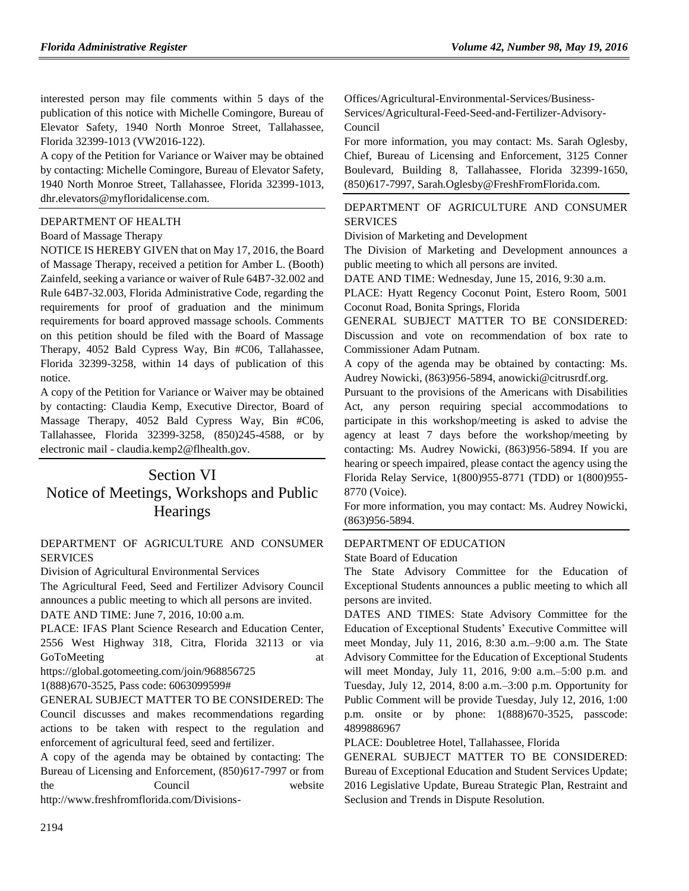interested person may file comments within 5 days of the publication of this notice with Michelle Comingore, Bureau of Elevator Safety, 1940 North Monroe Street, Tallahassee, Florida 32399-1013 (VW2016-122).

A copy of the Petition for Variance or Waiver may be obtained by contacting: Michelle Comingore, Bureau of Elevator Safety, 1940 North Monroe Street, Tallahassee, Florida 32399-1013, dhr.elevators@myfloridalicense.com.

## [DEPARTMENT OF HEALTH](https://www.flrules.org/gateway/department.asp?id=64)

## [Board of Massage Therapy](https://www.flrules.org/gateway/organization.asp?id=330)

NOTICE IS HEREBY GIVEN that on May 17, 2016, the Board of Massage Therapy, received a petition for Amber L. (Booth) Zainfeld, seeking a variance or waiver of Rule 64B7-32.002 and Rule 64B7-32.003, Florida Administrative Code, regarding the requirements for proof of graduation and the minimum requirements for board approved massage schools. Comments on this petition should be filed with the Board of Massage Therapy, 4052 Bald Cypress Way, Bin #C06, Tallahassee, Florida 32399-3258, within 14 days of publication of this notice.

A copy of the Petition for Variance or Waiver may be obtained by contacting: Claudia Kemp, Executive Director, Board of Massage Therapy, 4052 Bald Cypress Way, Bin #C06, Tallahassee, Florida 32399-3258, (850)245-4588, or by electronic mail - claudia.kemp2@flhealth.gov.

# Section VI Notice of Meetings, Workshops and Public **Hearings**

## [DEPARTMENT OF AGRICULTURE AND CONSUMER](https://www.flrules.org/gateway/department.asp?id=5)  [SERVICES](https://www.flrules.org/gateway/department.asp?id=5)

[Division of Agricultural Environmental Services](https://www.flrules.org/gateway/organization.asp?id=165)

The Agricultural Feed, Seed and Fertilizer Advisory Council announces a public meeting to which all persons are invited. DATE AND TIME: June 7, 2016, 10:00 a.m.

PLACE: IFAS Plant Science Research and Education Center, 2556 West Highway 318, Citra, Florida 32113 or via GoToMeeting at a control of the state of the state at a state of the state at a state of the state at a state of the state at a state of the state at a state of the state at a state of the state at a state of the state at

https://global.gotomeeting.com/join/968856725 1(888)670-3525, Pass code: 6063099599#

GENERAL SUBJECT MATTER TO BE CONSIDERED: The Council discusses and makes recommendations regarding actions to be taken with respect to the regulation and enforcement of agricultural feed, seed and fertilizer.

A copy of the agenda may be obtained by contacting: The Bureau of Licensing and Enforcement, (850)617-7997 or from the Council website

http://www.freshfromflorida.com/Divisions-

Offices/Agricultural-Environmental-Services/Business-Services/Agricultural-Feed-Seed-and-Fertilizer-Advisory-Council

For more information, you may contact: Ms. Sarah Oglesby, Chief, Bureau of Licensing and Enforcement, 3125 Conner Boulevard, Building 8, Tallahassee, Florida 32399-1650, (850)617-7997, Sarah.Oglesby@FreshFromFlorida.com.

## [DEPARTMENT OF AGRICULTURE AND CONSUMER](https://www.flrules.org/gateway/department.asp?id=5)  [SERVICES](https://www.flrules.org/gateway/department.asp?id=5)

[Division of Marketing and Development](https://www.flrules.org/gateway/organization.asp?id=168)

The Division of Marketing and Development announces a public meeting to which all persons are invited.

DATE AND TIME: Wednesday, June 15, 2016, 9:30 a.m.

PLACE: Hyatt Regency Coconut Point, Estero Room, 5001 Coconut Road, Bonita Springs, Florida

GENERAL SUBJECT MATTER TO BE CONSIDERED: Discussion and vote on recommendation of box rate to Commissioner Adam Putnam.

A copy of the agenda may be obtained by contacting: Ms. Audrey Nowicki, (863)956-5894, anowicki@citrusrdf.org.

Pursuant to the provisions of the Americans with Disabilities Act, any person requiring special accommodations to participate in this workshop/meeting is asked to advise the agency at least 7 days before the workshop/meeting by contacting: Ms. Audrey Nowicki, (863)956-5894. If you are hearing or speech impaired, please contact the agency using the Florida Relay Service, 1(800)955-8771 (TDD) or 1(800)955- 8770 (Voice).

For more information, you may contact: Ms. Audrey Nowicki, (863)956-5894.

## [DEPARTMENT OF EDUCATION](https://www.flrules.org/gateway/department.asp?id=6)

[State Board of Education](https://www.flrules.org/gateway/organization.asp?id=195)

The State Advisory Committee for the Education of Exceptional Students announces a public meeting to which all persons are invited.

DATES AND TIMES: State Advisory Committee for the Education of Exceptional Students' Executive Committee will meet Monday, July 11, 2016, 8:30 a.m.–9:00 a.m. The State Advisory Committee for the Education of Exceptional Students will meet Monday, July 11, 2016, 9:00 a.m.–5:00 p.m. and Tuesday, July 12, 2014, 8:00 a.m.–3:00 p.m. Opportunity for Public Comment will be provide Tuesday, July 12, 2016, 1:00 p.m. onsite or by phone: 1(888)670-3525, passcode: 4899886967

PLACE: Doubletree Hotel, Tallahassee, Florida

GENERAL SUBJECT MATTER TO BE CONSIDERED: Bureau of Exceptional Education and Student Services Update; 2016 Legislative Update, Bureau Strategic Plan, Restraint and Seclusion and Trends in Dispute Resolution.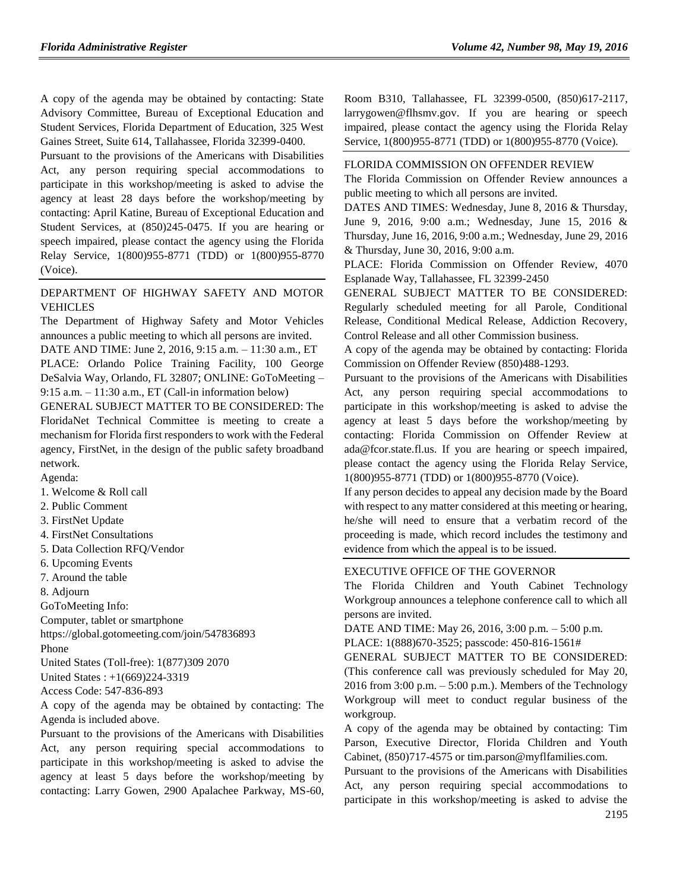A copy of the agenda may be obtained by contacting: State Advisory Committee, Bureau of Exceptional Education and Student Services, Florida Department of Education, 325 West Gaines Street, Suite 614, Tallahassee, Florida 32399-0400.

Pursuant to the provisions of the Americans with Disabilities Act, any person requiring special accommodations to participate in this workshop/meeting is asked to advise the agency at least 28 days before the workshop/meeting by contacting: April Katine, Bureau of Exceptional Education and Student Services, at (850)245-0475. If you are hearing or speech impaired, please contact the agency using the Florida Relay Service, 1(800)955-8771 (TDD) or 1(800)955-8770 (Voice).

## [DEPARTMENT OF HIGHWAY SAFETY AND MOTOR](https://www.flrules.org/gateway/department.asp?id=15)  [VEHICLES](https://www.flrules.org/gateway/department.asp?id=15)

The Department of Highway Safety and Motor Vehicles announces a public meeting to which all persons are invited.

DATE AND TIME: June 2, 2016, 9:15 a.m. – 11:30 a.m., ET PLACE: Orlando Police Training Facility, 100 George DeSalvia Way, Orlando, FL 32807; ONLINE: GoToMeeting – 9:15 a.m. – 11:30 a.m., ET (Call-in information below)

GENERAL SUBJECT MATTER TO BE CONSIDERED: The FloridaNet Technical Committee is meeting to create a mechanism for Florida first responders to work with the Federal agency, FirstNet, in the design of the public safety broadband network.

Agenda:

1. Welcome & Roll call

2. Public Comment

3. FirstNet Update

4. FirstNet Consultations

5. Data Collection RFQ/Vendor

6. Upcoming Events

7. Around the table

8. Adjourn

GoToMeeting Info:

Computer, tablet or smartphone

https://global.gotomeeting.com/join/547836893 Phone

United States (Toll-free): 1(877)309 2070

United States : +1(669)224-3319

Access Code: 547-836-893

A copy of the agenda may be obtained by contacting: The Agenda is included above.

Pursuant to the provisions of the Americans with Disabilities Act, any person requiring special accommodations to participate in this workshop/meeting is asked to advise the agency at least 5 days before the workshop/meeting by contacting: Larry Gowen, 2900 Apalachee Parkway, MS-60, Room B310, Tallahassee, FL 32399-0500, (850)617-2117, larrygowen@flhsmv.gov. If you are hearing or speech impaired, please contact the agency using the Florida Relay Service, 1(800)955-8771 (TDD) or 1(800)955-8770 (Voice).

#### [FLORIDA COMMISSION ON OFFENDER REVIEW](https://www.flrules.org/gateway/department.asp?id=23)

The Florida Commission on Offender Review announces a public meeting to which all persons are invited.

DATES AND TIMES: Wednesday, June 8, 2016 & Thursday, June 9, 2016, 9:00 a.m.; Wednesday, June 15, 2016 & Thursday, June 16, 2016, 9:00 a.m.; Wednesday, June 29, 2016 & Thursday, June 30, 2016, 9:00 a.m.

PLACE: Florida Commission on Offender Review, 4070 Esplanade Way, Tallahassee, FL 32399-2450

GENERAL SUBJECT MATTER TO BE CONSIDERED: Regularly scheduled meeting for all Parole, Conditional Release, Conditional Medical Release, Addiction Recovery, Control Release and all other Commission business.

A copy of the agenda may be obtained by contacting: Florida Commission on Offender Review (850)488-1293.

Pursuant to the provisions of the Americans with Disabilities Act, any person requiring special accommodations to participate in this workshop/meeting is asked to advise the agency at least 5 days before the workshop/meeting by contacting: Florida Commission on Offender Review at ada@fcor.state.fl.us. If you are hearing or speech impaired, please contact the agency using the Florida Relay Service, 1(800)955-8771 (TDD) or 1(800)955-8770 (Voice).

If any person decides to appeal any decision made by the Board with respect to any matter considered at this meeting or hearing, he/she will need to ensure that a verbatim record of the proceeding is made, which record includes the testimony and evidence from which the appeal is to be issued.

#### [EXECUTIVE OFFICE OF THE GOVERNOR](https://www.flrules.org/gateway/department.asp?id=27)

The Florida Children and Youth Cabinet Technology Workgroup announces a telephone conference call to which all persons are invited.

DATE AND TIME: May 26, 2016, 3:00 p.m. – 5:00 p.m. PLACE: 1(888)670-3525; passcode: 450-816-1561#

GENERAL SUBJECT MATTER TO BE CONSIDERED: (This conference call was previously scheduled for May 20, 2016 from  $3:00$  p.m.  $-5:00$  p.m.). Members of the Technology Workgroup will meet to conduct regular business of the workgroup.

A copy of the agenda may be obtained by contacting: Tim Parson, Executive Director, Florida Children and Youth Cabinet, (850)717-4575 or tim.parson@myflfamilies.com.

Pursuant to the provisions of the Americans with Disabilities Act, any person requiring special accommodations to participate in this workshop/meeting is asked to advise the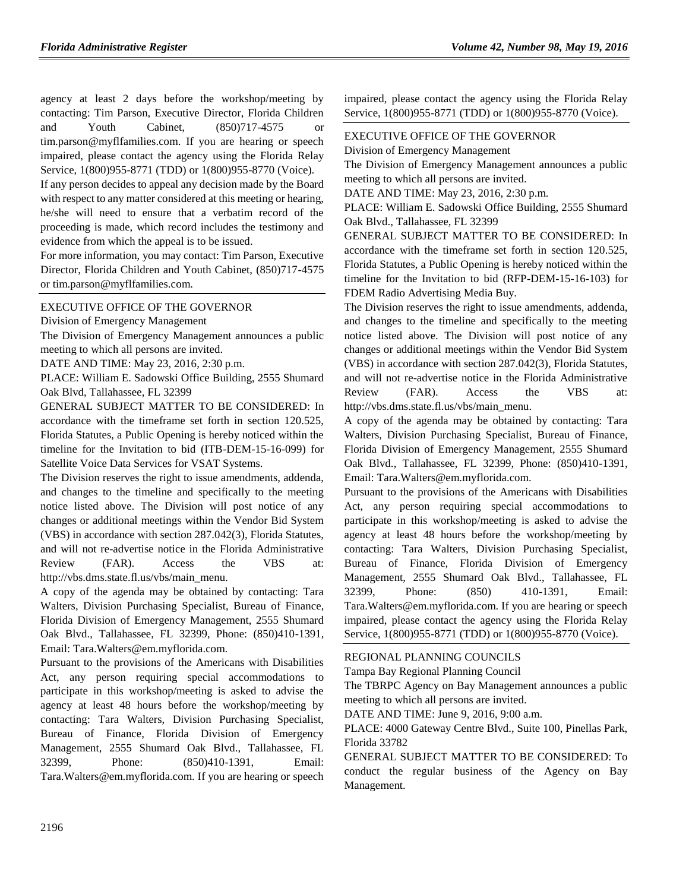agency at least 2 days before the workshop/meeting by contacting: Tim Parson, Executive Director, Florida Children and Youth Cabinet, (850)717-4575 or tim.parson@myflfamilies.com. If you are hearing or speech impaired, please contact the agency using the Florida Relay Service, 1(800)955-8771 (TDD) or 1(800)955-8770 (Voice).

If any person decides to appeal any decision made by the Board with respect to any matter considered at this meeting or hearing, he/she will need to ensure that a verbatim record of the proceeding is made, which record includes the testimony and evidence from which the appeal is to be issued.

For more information, you may contact: Tim Parson, Executive Director, Florida Children and Youth Cabinet, (850)717-4575 or tim.parson@myflfamilies.com.

## [EXECUTIVE OFFICE OF THE GOVERNOR](https://www.flrules.org/gateway/department.asp?id=27)

[Division of Emergency Management](https://www.flrules.org/gateway/organization.asp?id=1072)

The Division of Emergency Management announces a public meeting to which all persons are invited.

DATE AND TIME: May 23, 2016, 2:30 p.m.

PLACE: William E. Sadowski Office Building, 2555 Shumard Oak Blvd, Tallahassee, FL 32399

GENERAL SUBJECT MATTER TO BE CONSIDERED: In accordance with the timeframe set forth in section 120.525, Florida Statutes, a Public Opening is hereby noticed within the timeline for the Invitation to bid (ITB-DEM-15-16-099) for Satellite Voice Data Services for VSAT Systems.

The Division reserves the right to issue amendments, addenda, and changes to the timeline and specifically to the meeting notice listed above. The Division will post notice of any changes or additional meetings within the Vendor Bid System (VBS) in accordance with section 287.042(3), Florida Statutes, and will not re-advertise notice in the Florida Administrative Review (FAR). Access the VBS at: http://vbs.dms.state.fl.us/vbs/main\_menu.

A copy of the agenda may be obtained by contacting: Tara Walters, Division Purchasing Specialist, Bureau of Finance, Florida Division of Emergency Management, 2555 Shumard Oak Blvd., Tallahassee, FL 32399, Phone: (850)410-1391, Email: Tara.Walters@em.myflorida.com.

Pursuant to the provisions of the Americans with Disabilities Act, any person requiring special accommodations to participate in this workshop/meeting is asked to advise the agency at least 48 hours before the workshop/meeting by contacting: Tara Walters, Division Purchasing Specialist, Bureau of Finance, Florida Division of Emergency Management, 2555 Shumard Oak Blvd., Tallahassee, FL 32399, Phone: (850)410-1391, Email: Tara.Walters@em.myflorida.com. If you are hearing or speech

impaired, please contact the agency using the Florida Relay Service, 1(800)955-8771 (TDD) or 1(800)955-8770 (Voice).

## [EXECUTIVE OFFICE OF THE GOVERNOR](https://www.flrules.org/gateway/department.asp?id=27)

[Division of Emergency Management](https://www.flrules.org/gateway/organization.asp?id=1072)

The Division of Emergency Management announces a public meeting to which all persons are invited.

DATE AND TIME: May 23, 2016, 2:30 p.m.

PLACE: William E. Sadowski Office Building, 2555 Shumard Oak Blvd., Tallahassee, FL 32399

GENERAL SUBJECT MATTER TO BE CONSIDERED: In accordance with the timeframe set forth in section 120.525, Florida Statutes, a Public Opening is hereby noticed within the timeline for the Invitation to bid (RFP-DEM-15-16-103) for FDEM Radio Advertising Media Buy.

The Division reserves the right to issue amendments, addenda, and changes to the timeline and specifically to the meeting notice listed above. The Division will post notice of any changes or additional meetings within the Vendor Bid System (VBS) in accordance with section 287.042(3), Florida Statutes, and will not re-advertise notice in the Florida Administrative Review (FAR). Access the VBS at: http://vbs.dms.state.fl.us/vbs/main\_menu.

A copy of the agenda may be obtained by contacting: Tara Walters, Division Purchasing Specialist, Bureau of Finance, Florida Division of Emergency Management, 2555 Shumard Oak Blvd., Tallahassee, FL 32399, Phone: (850)410-1391, Email: Tara.Walters@em.myflorida.com.

Pursuant to the provisions of the Americans with Disabilities Act, any person requiring special accommodations to participate in this workshop/meeting is asked to advise the agency at least 48 hours before the workshop/meeting by contacting: Tara Walters, Division Purchasing Specialist, Bureau of Finance, Florida Division of Emergency Management, 2555 Shumard Oak Blvd., Tallahassee, FL 32399, Phone: (850) 410-1391, Email: Tara.Walters@em.myflorida.com. If you are hearing or speech impaired, please contact the agency using the Florida Relay Service, 1(800)955-8771 (TDD) or 1(800)955-8770 (Voice).

#### [REGIONAL PLANNING COUNCILS](https://www.flrules.org/gateway/department.asp?id=29)

[Tampa Bay Regional Planning Council](https://www.flrules.org/gateway/organization.asp?id=64)

The TBRPC Agency on Bay Management announces a public meeting to which all persons are invited.

DATE AND TIME: June 9, 2016, 9:00 a.m.

PLACE: 4000 Gateway Centre Blvd., Suite 100, Pinellas Park, Florida 33782

GENERAL SUBJECT MATTER TO BE CONSIDERED: To conduct the regular business of the Agency on Bay Management.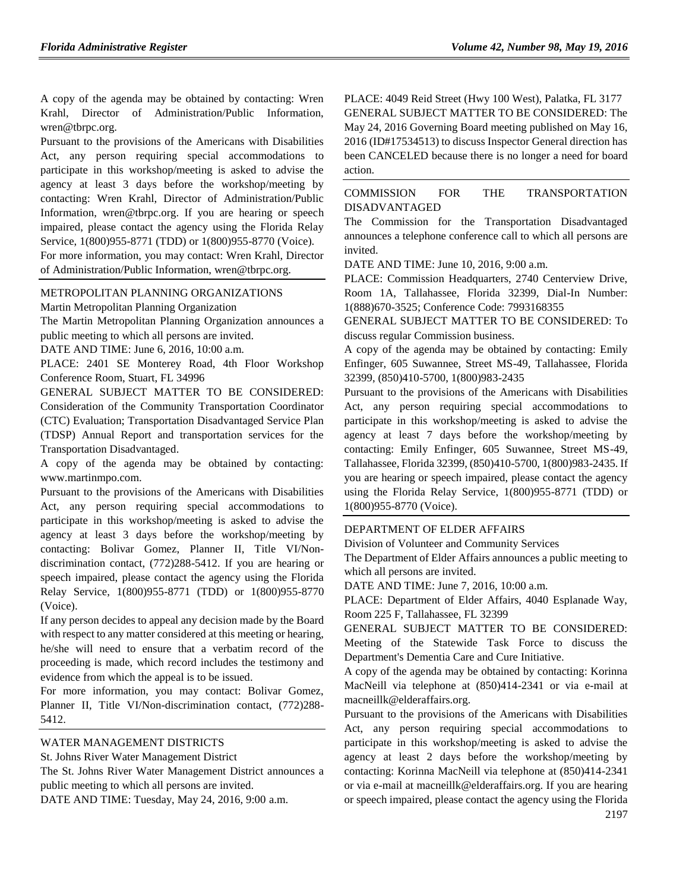A copy of the agenda may be obtained by contacting: Wren Krahl, Director of Administration/Public Information, wren@tbrpc.org.

Pursuant to the provisions of the Americans with Disabilities Act, any person requiring special accommodations to participate in this workshop/meeting is asked to advise the agency at least 3 days before the workshop/meeting by contacting: Wren Krahl, Director of Administration/Public Information, wren@tbrpc.org. If you are hearing or speech impaired, please contact the agency using the Florida Relay Service, 1(800)955-8771 (TDD) or 1(800)955-8770 (Voice).

For more information, you may contact: Wren Krahl, Director of Administration/Public Information, wren@tbrpc.org.

## [METROPOLITAN PLANNING ORGANIZATIONS](https://www.flrules.org/gateway/department.asp?id=35)

[Martin Metropolitan Planning Organization](https://www.flrules.org/gateway/organization.asp?id=828)

The Martin Metropolitan Planning Organization announces a public meeting to which all persons are invited.

DATE AND TIME: June 6, 2016, 10:00 a.m.

PLACE: 2401 SE Monterey Road, 4th Floor Workshop Conference Room, Stuart, FL 34996

GENERAL SUBJECT MATTER TO BE CONSIDERED: Consideration of the Community Transportation Coordinator (CTC) Evaluation; Transportation Disadvantaged Service Plan (TDSP) Annual Report and transportation services for the Transportation Disadvantaged.

A copy of the agenda may be obtained by contacting: www.martinmpo.com.

Pursuant to the provisions of the Americans with Disabilities Act, any person requiring special accommodations to participate in this workshop/meeting is asked to advise the agency at least 3 days before the workshop/meeting by contacting: Bolivar Gomez, Planner II, Title VI/Nondiscrimination contact, (772)288-5412. If you are hearing or speech impaired, please contact the agency using the Florida Relay Service, 1(800)955-8771 (TDD) or 1(800)955-8770 (Voice).

If any person decides to appeal any decision made by the Board with respect to any matter considered at this meeting or hearing, he/she will need to ensure that a verbatim record of the proceeding is made, which record includes the testimony and evidence from which the appeal is to be issued.

For more information, you may contact: Bolivar Gomez, Planner II, Title VI/Non-discrimination contact, (772)288- 5412.

[WATER MANAGEMENT DISTRICTS](https://www.flrules.org/gateway/department.asp?id=40)

[St. Johns River Water Management District](https://www.flrules.org/gateway/organization.asp?id=122)

The St. Johns River Water Management District announces a public meeting to which all persons are invited.

DATE AND TIME: Tuesday, May 24, 2016, 9:00 a.m.

PLACE: 4049 Reid Street (Hwy 100 West), Palatka, FL 3177 GENERAL SUBJECT MATTER TO BE CONSIDERED: The May 24, 2016 Governing Board meeting published on May 16, 2016 (ID#17534513) to discuss Inspector General direction has been CANCELED because there is no longer a need for board action.

## [COMMISSION FOR THE TRANSPORTATION](https://www.flrules.org/gateway/department.asp?id=41)  [DISADVANTAGED](https://www.flrules.org/gateway/department.asp?id=41)

The Commission for the Transportation Disadvantaged announces a telephone conference call to which all persons are invited.

DATE AND TIME: June 10, 2016, 9:00 a.m.

PLACE: Commission Headquarters, 2740 Centerview Drive, Room 1A, Tallahassee, Florida 32399, Dial-In Number: 1(888)670-3525; Conference Code: 7993168355

GENERAL SUBJECT MATTER TO BE CONSIDERED: To discuss regular Commission business.

A copy of the agenda may be obtained by contacting: Emily Enfinger, 605 Suwannee, Street MS-49, Tallahassee, Florida 32399, (850)410-5700, 1(800)983-2435

Pursuant to the provisions of the Americans with Disabilities Act, any person requiring special accommodations to participate in this workshop/meeting is asked to advise the agency at least 7 days before the workshop/meeting by contacting: Emily Enfinger, 605 Suwannee, Street MS-49, Tallahassee, Florida 32399, (850)410-5700, 1(800)983-2435. If you are hearing or speech impaired, please contact the agency using the Florida Relay Service, 1(800)955-8771 (TDD) or 1(800)955-8770 (Voice).

#### [DEPARTMENT OF ELDER AFFAIRS](https://www.flrules.org/gateway/department.asp?id=58)

[Division of Volunteer and Community Services](https://www.flrules.org/gateway/organization.asp?id=530)

The Department of Elder Affairs announces a public meeting to which all persons are invited.

DATE AND TIME: June 7, 2016, 10:00 a.m.

PLACE: Department of Elder Affairs, 4040 Esplanade Way, Room 225 F, Tallahassee, FL 32399

GENERAL SUBJECT MATTER TO BE CONSIDERED: Meeting of the Statewide Task Force to discuss the Department's Dementia Care and Cure Initiative.

A copy of the agenda may be obtained by contacting: Korinna MacNeill via telephone at (850)414-2341 or via e-mail at macneillk@elderaffairs.org.

Pursuant to the provisions of the Americans with Disabilities Act, any person requiring special accommodations to participate in this workshop/meeting is asked to advise the agency at least 2 days before the workshop/meeting by contacting: Korinna MacNeill via telephone at (850)414-2341 or via e-mail at macneillk@elderaffairs.org. If you are hearing or speech impaired, please contact the agency using the Florida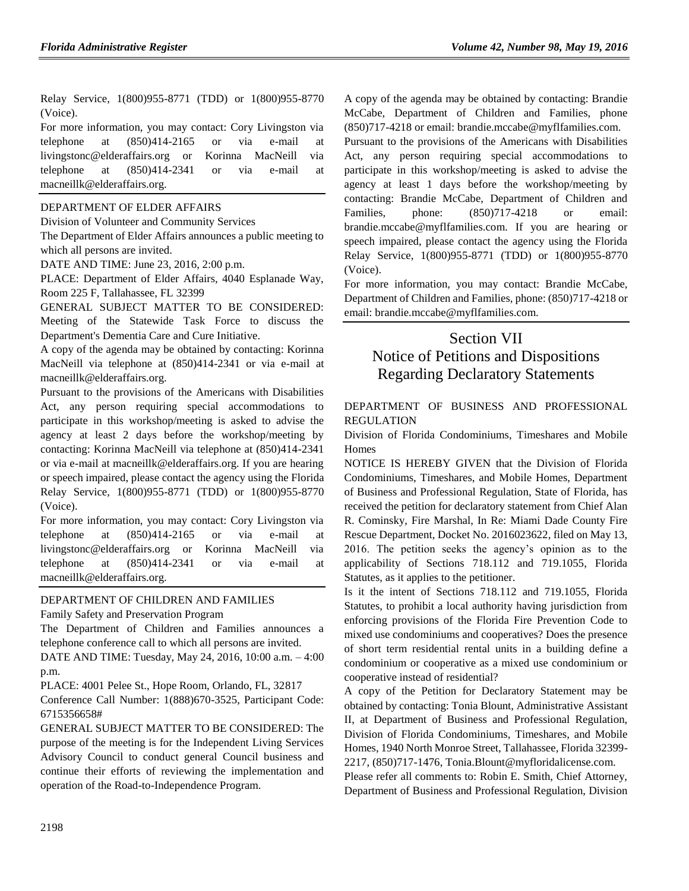Relay Service, 1(800)955-8771 (TDD) or 1(800)955-8770 (Voice).

For more information, you may contact: Cory Livingston via telephone at (850)414-2165 or via e-mail at livingstonc@elderaffairs.org or Korinna MacNeill via telephone at (850)414-2341 or via e-mail at macneillk@elderaffairs.org.

## [DEPARTMENT OF ELDER AFFAIRS](https://www.flrules.org/gateway/department.asp?id=58)

[Division of Volunteer and Community Services](https://www.flrules.org/gateway/organization.asp?id=530)

The Department of Elder Affairs announces a public meeting to which all persons are invited.

DATE AND TIME: June 23, 2016, 2:00 p.m.

PLACE: Department of Elder Affairs, 4040 Esplanade Way, Room 225 F, Tallahassee, FL 32399

GENERAL SUBJECT MATTER TO BE CONSIDERED: Meeting of the Statewide Task Force to discuss the Department's Dementia Care and Cure Initiative.

A copy of the agenda may be obtained by contacting: Korinna MacNeill via telephone at (850)414-2341 or via e-mail at macneillk@elderaffairs.org.

Pursuant to the provisions of the Americans with Disabilities Act, any person requiring special accommodations to participate in this workshop/meeting is asked to advise the agency at least 2 days before the workshop/meeting by contacting: Korinna MacNeill via telephone at (850)414-2341 or via e-mail at macneillk@elderaffairs.org. If you are hearing or speech impaired, please contact the agency using the Florida Relay Service, 1(800)955-8771 (TDD) or 1(800)955-8770 (Voice).

For more information, you may contact: Cory Livingston via telephone at (850)414-2165 or via e-mail at livingstonc@elderaffairs.org or Korinna MacNeill via telephone at (850)414-2341 or via e-mail at macneillk@elderaffairs.org.

## [DEPARTMENT OF CHILDREN AND FAMILIES](https://www.flrules.org/gateway/department.asp?id=65)

[Family Safety and Preservation Program](https://www.flrules.org/gateway/organization.asp?id=342)

The Department of Children and Families announces a telephone conference call to which all persons are invited.

DATE AND TIME: Tuesday, May 24, 2016, 10:00 a.m. – 4:00 p.m.

PLACE: 4001 Pelee St., Hope Room, Orlando, FL, 32817

Conference Call Number: 1(888)670-3525, Participant Code: 6715356658#

GENERAL SUBJECT MATTER TO BE CONSIDERED: The purpose of the meeting is for the Independent Living Services Advisory Council to conduct general Council business and continue their efforts of reviewing the implementation and operation of the Road-to-Independence Program.

A copy of the agenda may be obtained by contacting: Brandie McCabe, Department of Children and Families, phone (850)717-4218 or email: brandie.mccabe@myflfamilies.com.

Pursuant to the provisions of the Americans with Disabilities Act, any person requiring special accommodations to participate in this workshop/meeting is asked to advise the agency at least 1 days before the workshop/meeting by contacting: Brandie McCabe, Department of Children and Families, phone: (850)717-4218 or email: brandie.mccabe@myflfamilies.com. If you are hearing or speech impaired, please contact the agency using the Florida Relay Service, 1(800)955-8771 (TDD) or 1(800)955-8770 (Voice).

For more information, you may contact: Brandie McCabe, Department of Children and Families, phone: (850)717-4218 or email: brandie.mccabe@myflfamilies.com.

# Section VII Notice of Petitions and Dispositions Regarding Declaratory Statements

## [DEPARTMENT OF BUSINESS AND PROFESSIONAL](https://www.flrules.org/gateway/department.asp?id=61)  [REGULATION](https://www.flrules.org/gateway/department.asp?id=61)

[Division of Florida Condominiums, Timeshares and Mobile](https://www.flrules.org/gateway/organization.asp?id=248)  **[Homes](https://www.flrules.org/gateway/organization.asp?id=248)** 

NOTICE IS HEREBY GIVEN that the Division of Florida Condominiums, Timeshares, and Mobile Homes, Department of Business and Professional Regulation, State of Florida, has received the petition for declaratory statement from Chief Alan R. Cominsky, Fire Marshal, In Re: Miami Dade County Fire Rescue Department, Docket No. 2016023622, filed on May 13, 2016. The petition seeks the agency's opinion as to the applicability of Sections 718.112 and 719.1055, Florida Statutes, as it applies to the petitioner.

Is it the intent of Sections 718.112 and 719.1055, Florida Statutes, to prohibit a local authority having jurisdiction from enforcing provisions of the Florida Fire Prevention Code to mixed use condominiums and cooperatives? Does the presence of short term residential rental units in a building define a condominium or cooperative as a mixed use condominium or cooperative instead of residential?

A copy of the Petition for Declaratory Statement may be obtained by contacting: Tonia Blount, Administrative Assistant II, at Department of Business and Professional Regulation, Division of Florida Condominiums, Timeshares, and Mobile Homes, 1940 North Monroe Street, Tallahassee, Florida 32399- 2217, (850)717-1476, Tonia.Blount@myfloridalicense.com.

Please refer all comments to: Robin E. Smith, Chief Attorney, Department of Business and Professional Regulation, Division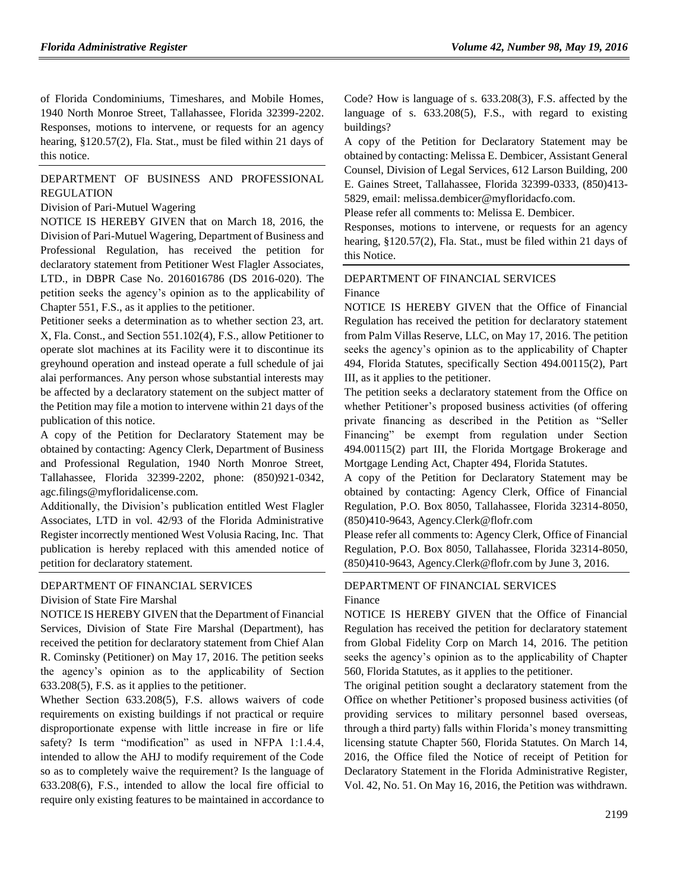of Florida Condominiums, Timeshares, and Mobile Homes, 1940 North Monroe Street, Tallahassee, Florida 32399-2202. Responses, motions to intervene, or requests for an agency hearing, §120.57(2), Fla. Stat., must be filed within 21 days of this notice.

## [DEPARTMENT OF BUSINESS AND PROFESSIONAL](https://www.flrules.org/gateway/department.asp?id=61)  [REGULATION](https://www.flrules.org/gateway/department.asp?id=61)

#### [Division of Pari-Mutuel Wagering](https://www.flrules.org/gateway/organization.asp?id=250)

NOTICE IS HEREBY GIVEN that on March 18, 2016, the Division of Pari-Mutuel Wagering, Department of Business and Professional Regulation, has received the petition for declaratory statement from Petitioner West Flagler Associates, LTD., in DBPR Case No. 2016016786 (DS 2016-020). The petition seeks the agency's opinion as to the applicability of Chapter 551, F.S., as it applies to the petitioner.

Petitioner seeks a determination as to whether section 23, art. X, Fla. Const., and Section 551.102(4), F.S., allow Petitioner to operate slot machines at its Facility were it to discontinue its greyhound operation and instead operate a full schedule of jai alai performances. Any person whose substantial interests may be affected by a declaratory statement on the subject matter of the Petition may file a motion to intervene within 21 days of the publication of this notice.

A copy of the Petition for Declaratory Statement may be obtained by contacting: Agency Clerk, Department of Business and Professional Regulation, 1940 North Monroe Street, Tallahassee, Florida 32399-2202, phone: (850)921-0342, agc.filings@myfloridalicense.com.

Additionally, the Division's publication entitled West Flagler Associates, LTD in vol. 42/93 of the Florida Administrative Register incorrectly mentioned West Volusia Racing, Inc. That publication is hereby replaced with this amended notice of petition for declaratory statement.

## [DEPARTMENT OF FINANCIAL SERVICES](https://www.flrules.org/gateway/department.asp?id=69)

[Division of State Fire Marshal](https://www.flrules.org/gateway/organization.asp?id=359)

NOTICE IS HEREBY GIVEN that the Department of Financial Services, Division of State Fire Marshal (Department), has received the petition for declaratory statement from Chief Alan R. Cominsky (Petitioner) on May 17, 2016. The petition seeks the agency's opinion as to the applicability of Section 633.208(5), F.S. as it applies to the petitioner.

Whether Section 633.208(5), F.S. allows waivers of code requirements on existing buildings if not practical or require disproportionate expense with little increase in fire or life safety? Is term "modification" as used in NFPA 1:1.4.4, intended to allow the AHJ to modify requirement of the Code so as to completely waive the requirement? Is the language of 633.208(6), F.S., intended to allow the local fire official to require only existing features to be maintained in accordance to Code? How is language of s. 633.208(3), F.S. affected by the language of s. 633.208(5), F.S., with regard to existing buildings?

A copy of the Petition for Declaratory Statement may be obtained by contacting: Melissa E. Dembicer, Assistant General Counsel, Division of Legal Services, 612 Larson Building, 200 E. Gaines Street, Tallahassee, Florida 32399-0333, (850)413- 5829, email: melissa.dembicer@myfloridacfo.com.

Please refer all comments to: Melissa E. Dembicer.

Responses, motions to intervene, or requests for an agency hearing, §120.57(2), Fla. Stat., must be filed within 21 days of this Notice.

## [DEPARTMENT OF FINANCIAL SERVICES](https://www.flrules.org/gateway/department.asp?id=69) [Finance](https://www.flrules.org/gateway/organization.asp?id=524)

NOTICE IS HEREBY GIVEN that the Office of Financial Regulation has received the petition for declaratory statement from Palm Villas Reserve, LLC, on May 17, 2016. The petition seeks the agency's opinion as to the applicability of Chapter 494, Florida Statutes, specifically Section 494.00115(2), Part III, as it applies to the petitioner.

The petition seeks a declaratory statement from the Office on whether Petitioner's proposed business activities (of offering private financing as described in the Petition as "Seller Financing" be exempt from regulation under Section 494.00115(2) part III, the Florida Mortgage Brokerage and Mortgage Lending Act, Chapter 494, Florida Statutes.

A copy of the Petition for Declaratory Statement may be obtained by contacting: Agency Clerk, Office of Financial Regulation, P.O. Box 8050, Tallahassee, Florida 32314-8050, (850)410-9643, Agency.Clerk@flofr.com

Please refer all comments to: Agency Clerk, Office of Financial Regulation, P.O. Box 8050, Tallahassee, Florida 32314-8050, (850)410-9643, Agency.Clerk@flofr.com by June 3, 2016.

## [DEPARTMENT OF FINANCIAL SERVICES](https://www.flrules.org/gateway/department.asp?id=69) [Finance](https://www.flrules.org/gateway/organization.asp?id=524)

NOTICE IS HEREBY GIVEN that the Office of Financial Regulation has received the petition for declaratory statement from Global Fidelity Corp on March 14, 2016. The petition seeks the agency's opinion as to the applicability of Chapter 560, Florida Statutes, as it applies to the petitioner.

The original petition sought a declaratory statement from the Office on whether Petitioner's proposed business activities (of providing services to military personnel based overseas, through a third party) falls within Florida's money transmitting licensing statute Chapter 560, Florida Statutes. On March 14, 2016, the Office filed the Notice of receipt of Petition for Declaratory Statement in the Florida Administrative Register, Vol. 42, No. 51. On May 16, 2016, the Petition was withdrawn.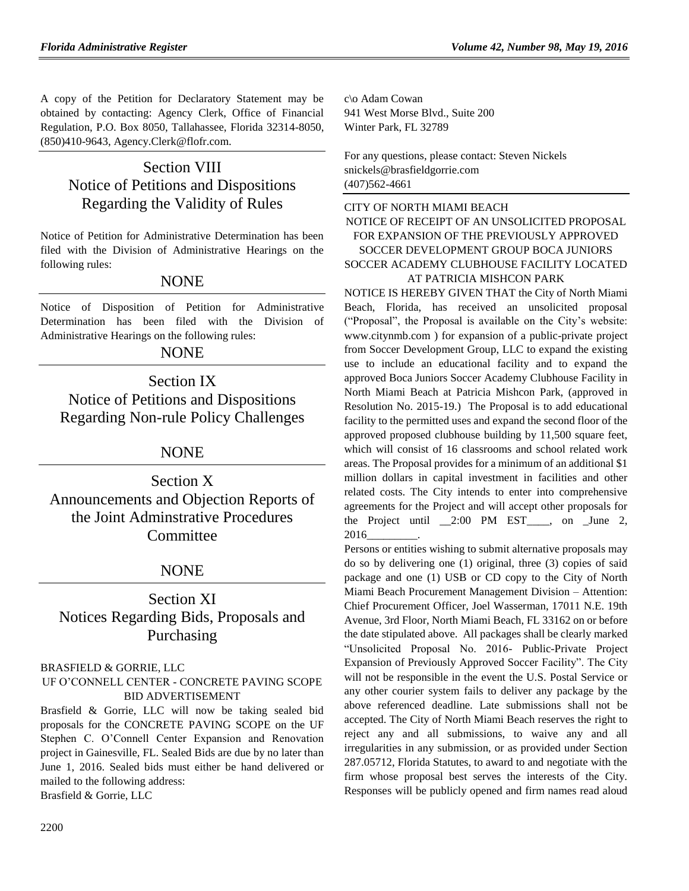A copy of the Petition for Declaratory Statement may be obtained by contacting: Agency Clerk, Office of Financial Regulation, P.O. Box 8050, Tallahassee, Florida 32314-8050, (850)410-9643, Agency.Clerk@flofr.com.

# Section VIII Notice of Petitions and Dispositions Regarding the Validity of Rules

Notice of Petition for Administrative Determination has been filed with the Division of Administrative Hearings on the following rules:

## NONE

Notice of Disposition of Petition for Administrative Determination has been filed with the Division of Administrative Hearings on the following rules:

## NONE

Section IX Notice of Petitions and Dispositions Regarding Non-rule Policy Challenges

## NONE

Section X Announcements and Objection Reports of the Joint Adminstrative Procedures Committee

## NONE

Section XI Notices Regarding Bids, Proposals and Purchasing

## [BRASFIELD & GORRIE, LLC](https://www.flrules.org/gateway/organization.asp?id=1219)

UF O'CONNELL CENTER - CONCRETE PAVING SCOPE BID ADVERTISEMENT

Brasfield & Gorrie, LLC will now be taking sealed bid proposals for the CONCRETE PAVING SCOPE on the UF Stephen C. O'Connell Center Expansion and Renovation project in Gainesville, FL. Sealed Bids are due by no later than June 1, 2016. Sealed bids must either be hand delivered or mailed to the following address: Brasfield & Gorrie, LLC

c\o Adam Cowan 941 West Morse Blvd., Suite 200 Winter Park, FL 32789

For any questions, please contact: Steven Nickels snickels@brasfieldgorrie.com (407)562-4661

## [CITY OF NORTH MIAMI BEACH](https://www.flrules.org/gateway/organization.asp?id=1242) NOTICE OF RECEIPT OF AN UNSOLICITED PROPOSAL FOR EXPANSION OF THE PREVIOUSLY APPROVED SOCCER DEVELOPMENT GROUP BOCA JUNIORS SOCCER ACADEMY CLUBHOUSE FACILITY LOCATED AT PATRICIA MISHCON PARK

NOTICE IS HEREBY GIVEN THAT the City of North Miami Beach, Florida, has received an unsolicited proposal ("Proposal", the Proposal is available on the City's website: [www.citynmb.com](http://www.citynmb.com/) ) for expansion of a public-private project from Soccer Development Group, LLC to expand the existing use to include an educational facility and to expand the approved Boca Juniors Soccer Academy Clubhouse Facility in North Miami Beach at Patricia Mishcon Park, (approved in Resolution No. 2015-19.) The Proposal is to add educational facility to the permitted uses and expand the second floor of the approved proposed clubhouse building by 11,500 square feet, which will consist of 16 classrooms and school related work areas. The Proposal provides for a minimum of an additional \$1 million dollars in capital investment in facilities and other related costs. The City intends to enter into comprehensive agreements for the Project and will accept other proposals for the Project until \_\_2:00 PM EST\_\_\_\_, on \_June 2, 2016\_\_\_\_\_\_\_\_\_.

Persons or entities wishing to submit alternative proposals may do so by delivering one (1) original, three (3) copies of said package and one (1) USB or CD copy to the City of North Miami Beach Procurement Management Division – Attention: Chief Procurement Officer, Joel Wasserman, 17011 N.E. 19th Avenue, 3rd Floor, North Miami Beach, FL 33162 on or before the date stipulated above. All packages shall be clearly marked "Unsolicited Proposal No. 2016- Public-Private Project Expansion of Previously Approved Soccer Facility". The City will not be responsible in the event the U.S. Postal Service or any other courier system fails to deliver any package by the above referenced deadline. Late submissions shall not be accepted. The City of North Miami Beach reserves the right to reject any and all submissions, to waive any and all irregularities in any submission, or as provided under Section 287.05712, Florida Statutes, to award to and negotiate with the firm whose proposal best serves the interests of the City. Responses will be publicly opened and firm names read aloud